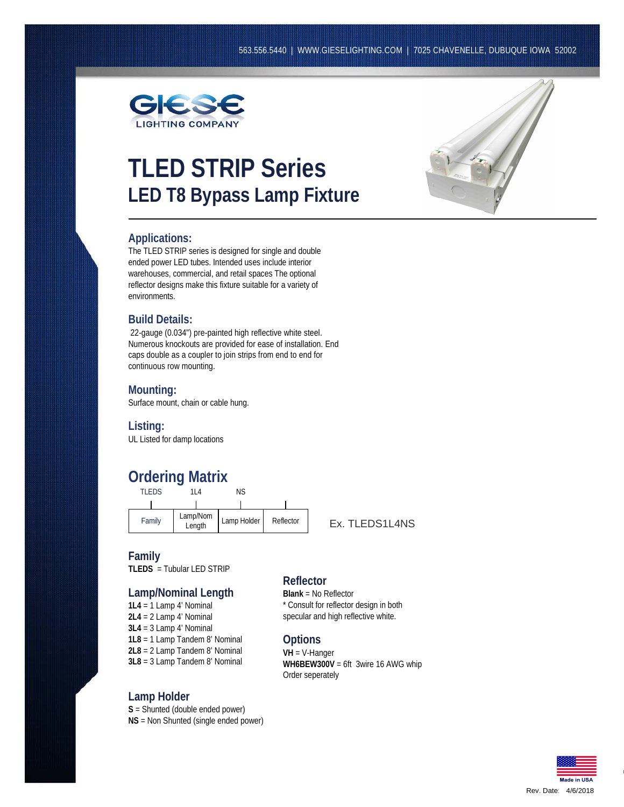

# **TLED STRIP Series LED T8 Bypass Lamp Fixture**



### **Applications:**

The TLED STRIP series is designed for single and double ended power LED tubes. Intended uses include interior warehouses, commercial, and retail spaces The optional reflector designs make this fixture suitable for a variety of environments.

### **Build Details:**

22-gauge (0.034") pre-painted high reflective white steel. Numerous knockouts are provided for ease of installation. End caps double as a coupler to join strips from end to end for continuous row mounting.

### **Mounting:**

Surface mount, chain or cable hung.

**Listing:**

UL Listed for damp locations

## **Ordering Matrix**

| TI FDS | 114                | ΝS          |           |
|--------|--------------------|-------------|-----------|
|        |                    |             |           |
| Family | Lamp/Nom<br>Length | Lamp Holder | Reflector |

Ex. TLEDS1L4NS

### **Family**

**TLEDS** = Tubular LED STRIP

## **Lamp/Nominal Length**<br>1L4 = 1 Lamp 4' Nominal

**2L4** = 2 Lamp 4' Nominal **3L4** = 3 Lamp 4' Nominal **1L8** = 1 Lamp Tandem 8' Nominal **2L8** = 2 Lamp Tandem 8' Nominal **3L8** = 3 Lamp Tandem 8' Nominal

### **Lamp Holder**

**S** = Shunted (double ended power) **NS** = Non Shunted (single ended power)

### **Reflector**

**Blank** = No Reflector \* Consult for reflector design in both specular and high reflective white.

### **Options**

**VH** = V-Hanger **WH6BEW300V** = 6ft 3wire 16 AWG whip Order seperately